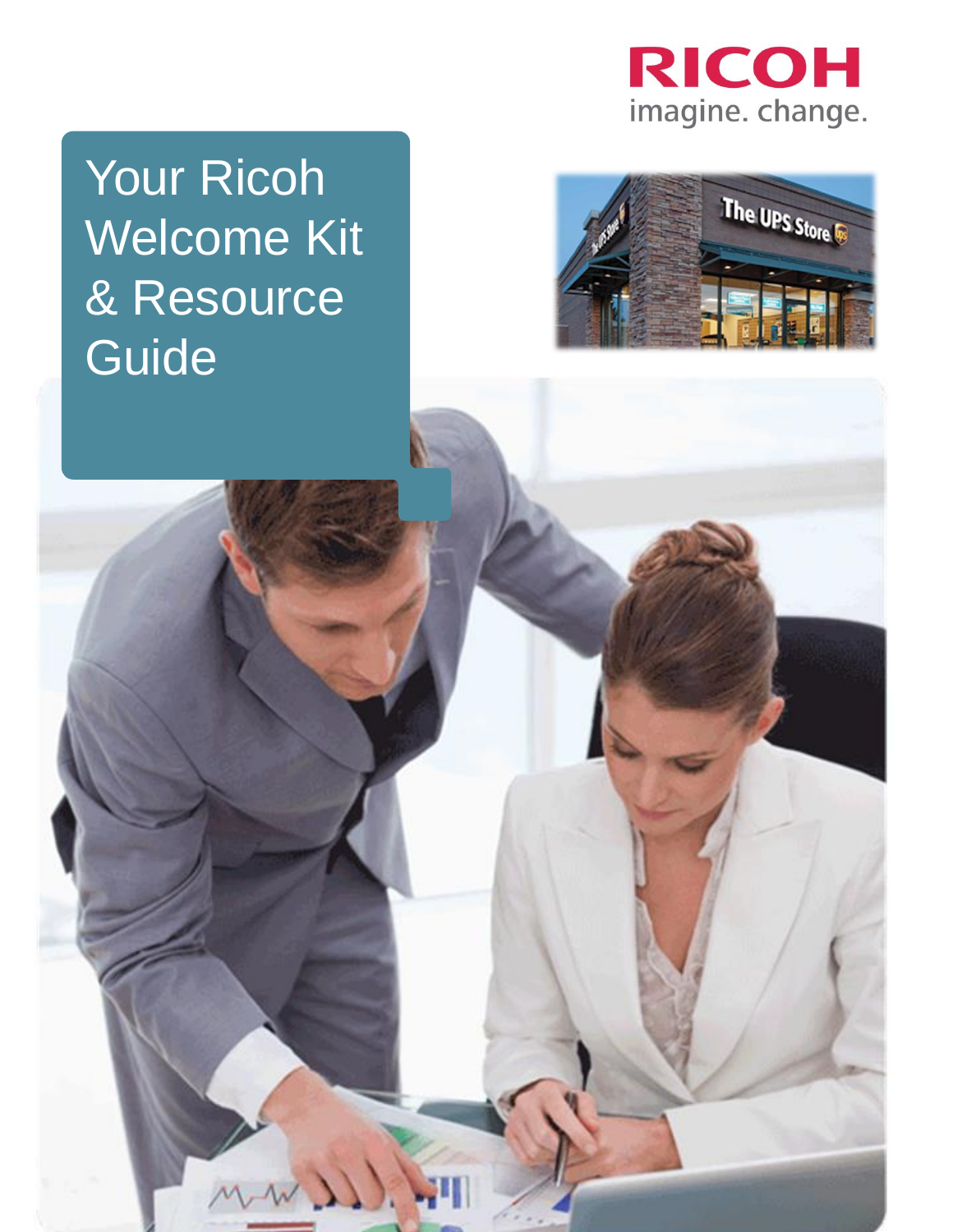

Your Ricoh Welcome Kit & Resource Guide

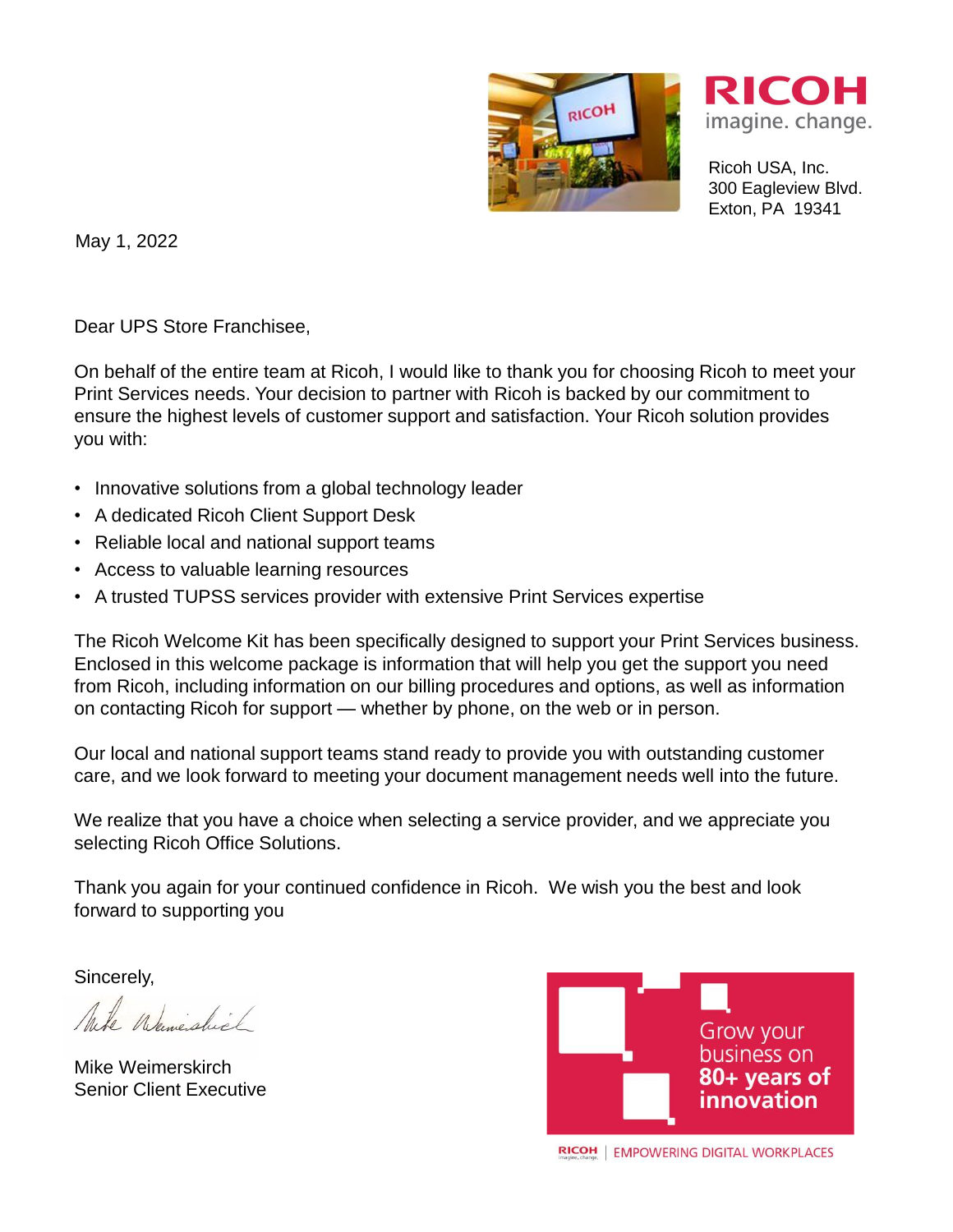



Ricoh USA, Inc. 300 Eagleview Blvd. Exton, PA 19341

May 1, 2022

Dear UPS Store Franchisee,

On behalf of the entire team at Ricoh, I would like to thank you for choosing Ricoh to meet your Print Services needs. Your decision to partner with Ricoh is backed by our commitment to ensure the highest levels of customer support and satisfaction. Your Ricoh solution provides you with:

- Innovative solutions from a global technology leader
- A dedicated Ricoh Client Support Desk
- Reliable local and national support teams
- Access to valuable learning resources
- A trusted TUPSS services provider with extensive Print Services expertise

The Ricoh Welcome Kit has been specifically designed to support your Print Services business. Enclosed in this welcome package is information that will help you get the support you need from Ricoh, including information on our billing procedures and options, as well as information on contacting Ricoh for support — whether by phone, on the web or in person.

Our local and national support teams stand ready to provide you with outstanding customer care, and we look forward to meeting your document management needs well into the future.

We realize that you have a choice when selecting a service provider, and we appreciate you selecting Ricoh Office Solutions.

Thank you again for your continued confidence in Ricoh. We wish you the best and look forward to supporting you

Sincerely,

Mite Weweshirt

Mike Weimerskirch Senior Client Executive

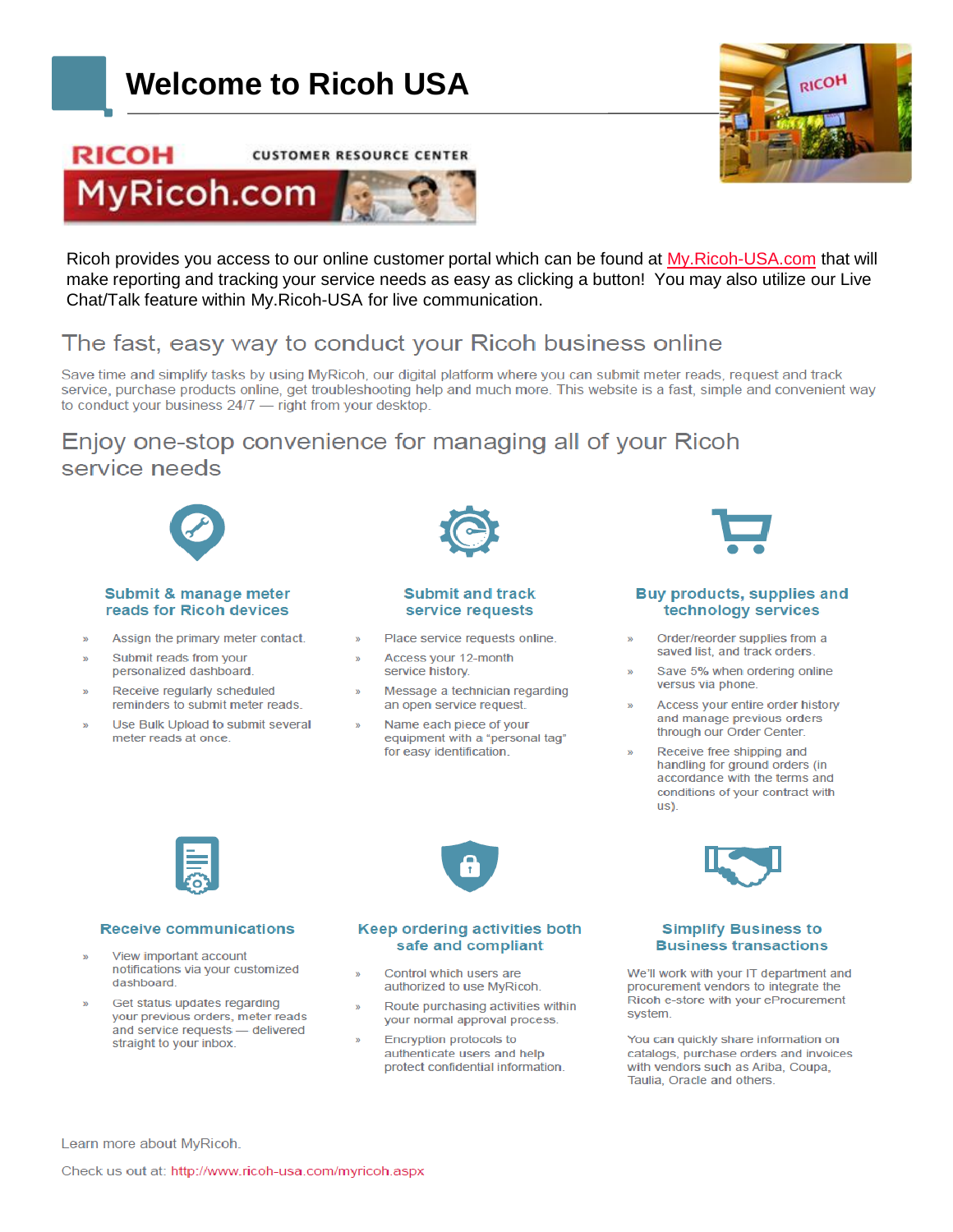# **Welcome to Ricoh USA**

**CUSTOMER RESOURCE CENTER** 





Ricoh provides you access to our online customer portal which can be found at [My.Ricoh-USA.com](http://www.myricoh.com/) that will make reporting and tracking your service needs as easy as clicking a button! You may also utilize our Live Chat/Talk feature within My.Ricoh-USA for live communication.

## The fast, easy way to conduct your Ricoh business online

Save time and simplify tasks by using MyRicoh, our digital platform where you can submit meter reads, request and track service, purchase products online, get troubleshooting help and much more. This website is a fast, simple and convenient way to conduct your business 24/7 - right from your desktop.

## Enjoy one-stop convenience for managing all of your Ricoh service needs



#### **Submit & manage meter** reads for Ricoh devices

- Assign the primary meter contact.
- Submit reads from your personalized dashboard.

**RICOH** 

- Receive regularly scheduled reminders to submit meter reads.
- Use Bulk Upload to submit several meter reads at once.



#### **Submit and track** service requests

- Place service requests online.
- Access your 12-month service history.
- Message a technician regarding an open service request.
- Name each piece of your equipment with a "personal tag" for easy identification.

#### Buy products, supplies and technology services

- Order/reorder supplies from a saved list, and track orders.
- Save 5% when ordering online versus via phone.
- Access your entire order history and manage previous orders through our Order Center.
- Receive free shipping and handling for ground orders (in accordance with the terms and conditions of your contract with us).



#### **Receive communications**

- View important account notifications via your customized dashboard.
- Get status updates regarding your previous orders, meter reads and service requests - delivered straight to your inbox.



#### Keep ordering activities both safe and compliant

- Control which users are authorized to use MyRicoh.
- Route purchasing activities within your normal approval process.
- Encryption protocols to authenticate users and help protect confidential information.



#### **Simplify Business to Business transactions**

We'll work with your IT department and procurement vendors to integrate the Ricoh e-store with your eProcurement system.

You can quickly share information on catalogs, purchase orders and invoices with vendors such as Ariba, Coupa, Taulia, Oracle and others.

Learn more about MyRicoh.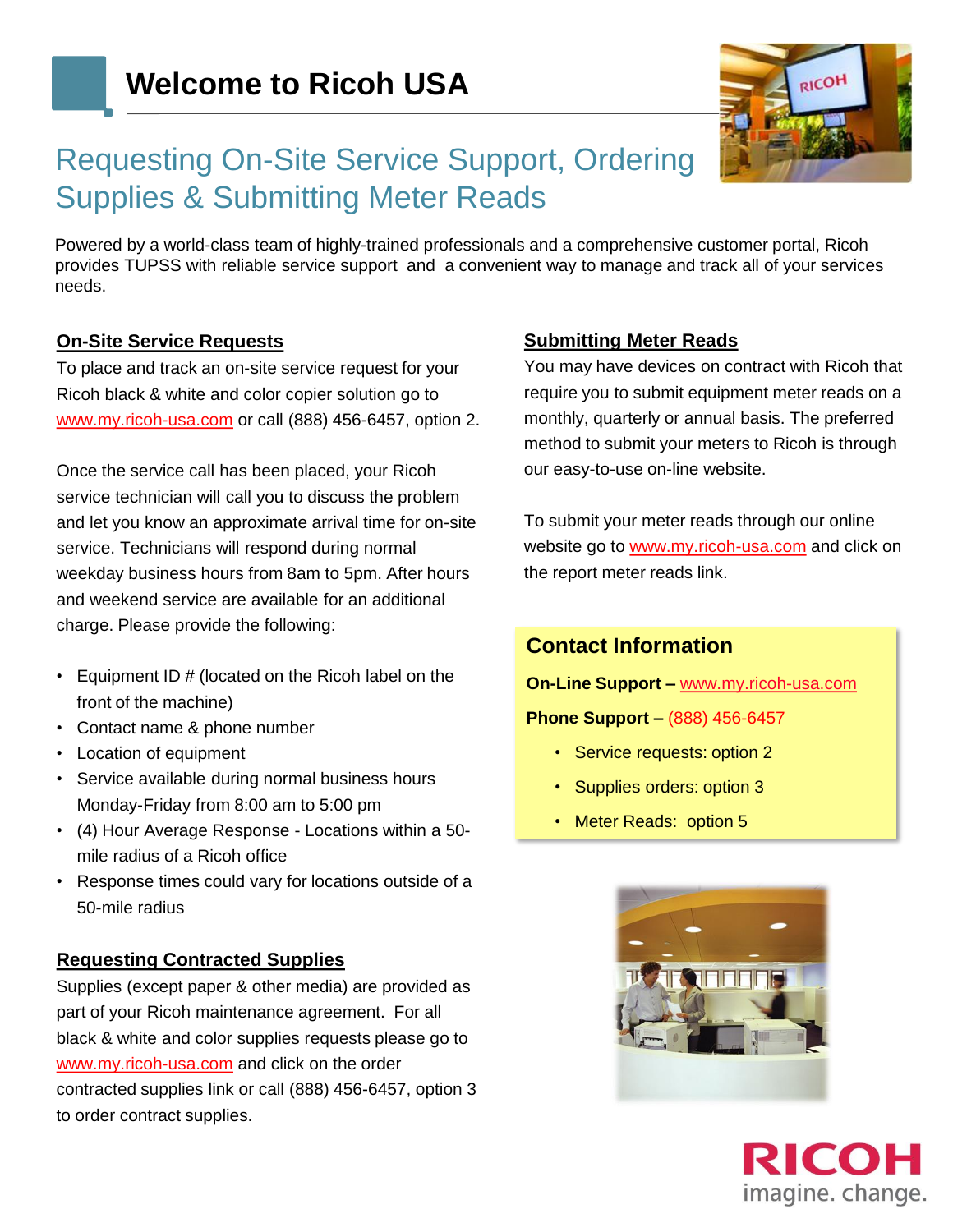

# Requesting On-Site Service Support, Ordering Supplies & Submitting Meter Reads

Powered by a world-class team of highly-trained professionals and a comprehensive customer portal, Ricoh provides TUPSS with reliable service support and a convenient way to manage and track all of your services needs.

#### **On-Site Service Requests**

To place and track an on-site service request for your Ricoh black & white and color copier solution go to www.my.ricoh-usa.com or call (888) 456-6457, option 2.

Once the service call has been placed, your Ricoh service technician will call you to discuss the problem and let you know an approximate arrival time for on-site service. Technicians will respond during normal weekday business hours from 8am to 5pm. After hours and weekend service are available for an additional charge. Please provide the following:

- Equipment ID # (located on the Ricoh label on the front of the machine)
- Contact name & phone number
- Location of equipment
- Service available during normal business hours Monday-Friday from 8:00 am to 5:00 pm
- (4) Hour Average Response Locations within a 50 mile radius of a Ricoh office
- Response times could vary for locations outside of a 50-mile radius

#### **Requesting Contracted Supplies**

Supplies (except paper & other media) are provided as part of your Ricoh maintenance agreement. For all black & white and color supplies requests please go to www.my.ricoh-usa.com and click on the order contracted supplies link or call (888) 456-6457, option 3 to order contract supplies.

#### **Submitting Meter Reads**

You may have devices on contract with Ricoh that require you to submit equipment meter reads on a monthly, quarterly or annual basis. The preferred method to submit your meters to Ricoh is through our easy-to-use on-line website.

To submit your meter reads through our online website go to www.my.ricoh-usa.com and click on the report meter reads link.

### **Contact Information**

**On-Line Support –** [www.my.ricoh-usa.com](http://www.my.ricoh.com/)

#### **Phone Support –** (888) 456-6457

- Service requests: option 2
- Supplies orders: option 3
- Meter Reads: option 5



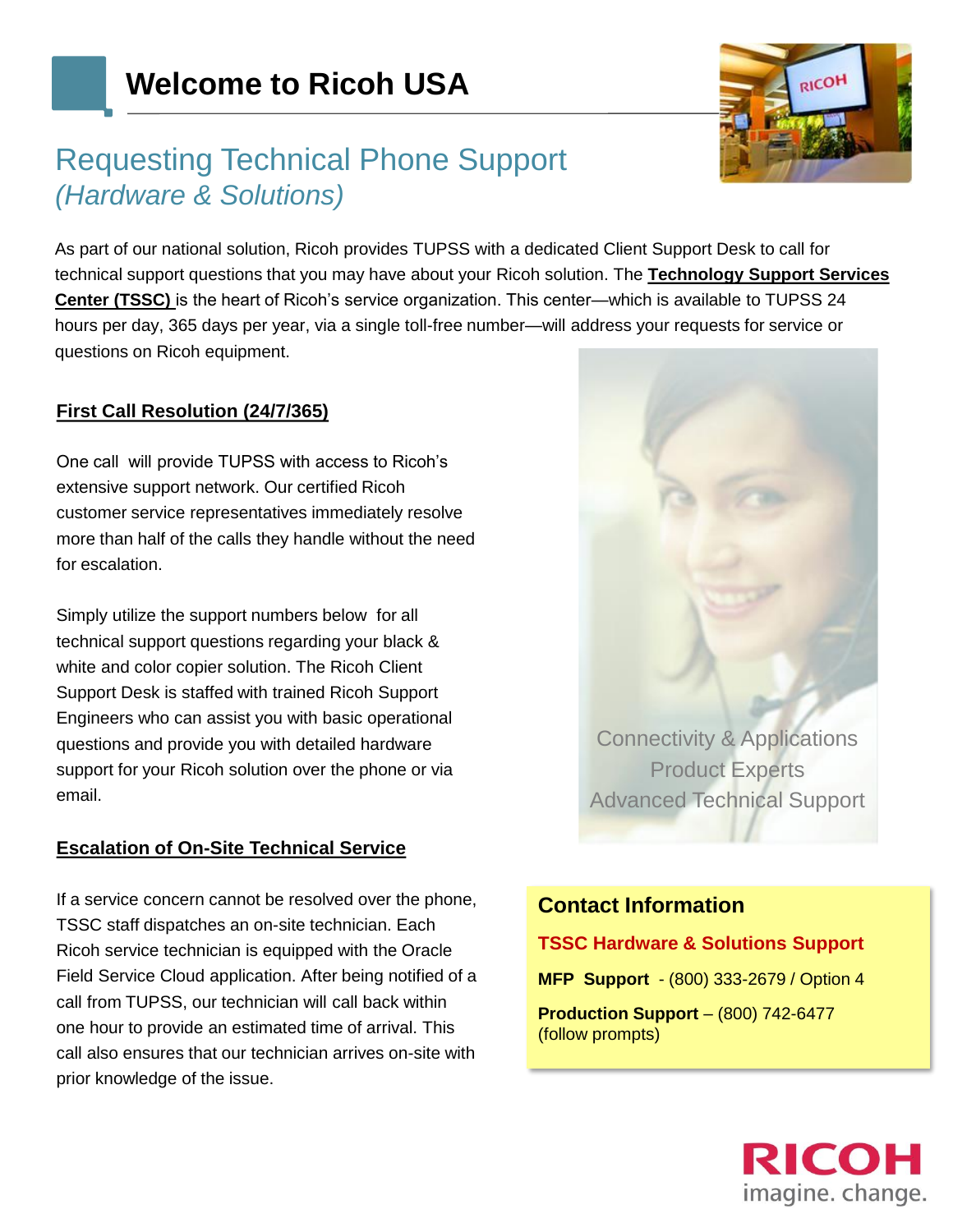## Requesting Technical Phone Support *(Hardware & Solutions)*

RICOF

As part of our national solution, Ricoh provides TUPSS with a dedicated Client Support Desk to call for technical support questions that you may have about your Ricoh solution. The **Technology Support Services Center (TSSC)** is the heart of Ricoh's service organization. This center—which is available to TUPSS 24 hours per day, 365 days per year, via a single toll-free number—will address your requests for service or questions on Ricoh equipment.

### **First Call Resolution (24/7/365)**

One call will provide TUPSS with access to Ricoh's extensive support network. Our certified Ricoh customer service representatives immediately resolve more than half of the calls they handle without the need for escalation.

Simply utilize the support numbers below for all technical support questions regarding your black & white and color copier solution. The Ricoh Client Support Desk is staffed with trained Ricoh Support Engineers who can assist you with basic operational questions and provide you with detailed hardware support for your Ricoh solution over the phone or via email.

### **Escalation of On-Site Technical Service**

If a service concern cannot be resolved over the phone, TSSC staff dispatches an on-site technician. Each Ricoh service technician is equipped with the Oracle Field Service Cloud application. After being notified of a call from TUPSS, our technician will call back within one hour to provide an estimated time of arrival. This call also ensures that our technician arrives on-site with prior knowledge of the issue.



## **Contact Information**

#### **TSSC Hardware & Solutions Support**

**MFP Support** - (800) 333-2679 / Option 4

**Production Support** – (800) 742-6477 (follow prompts)

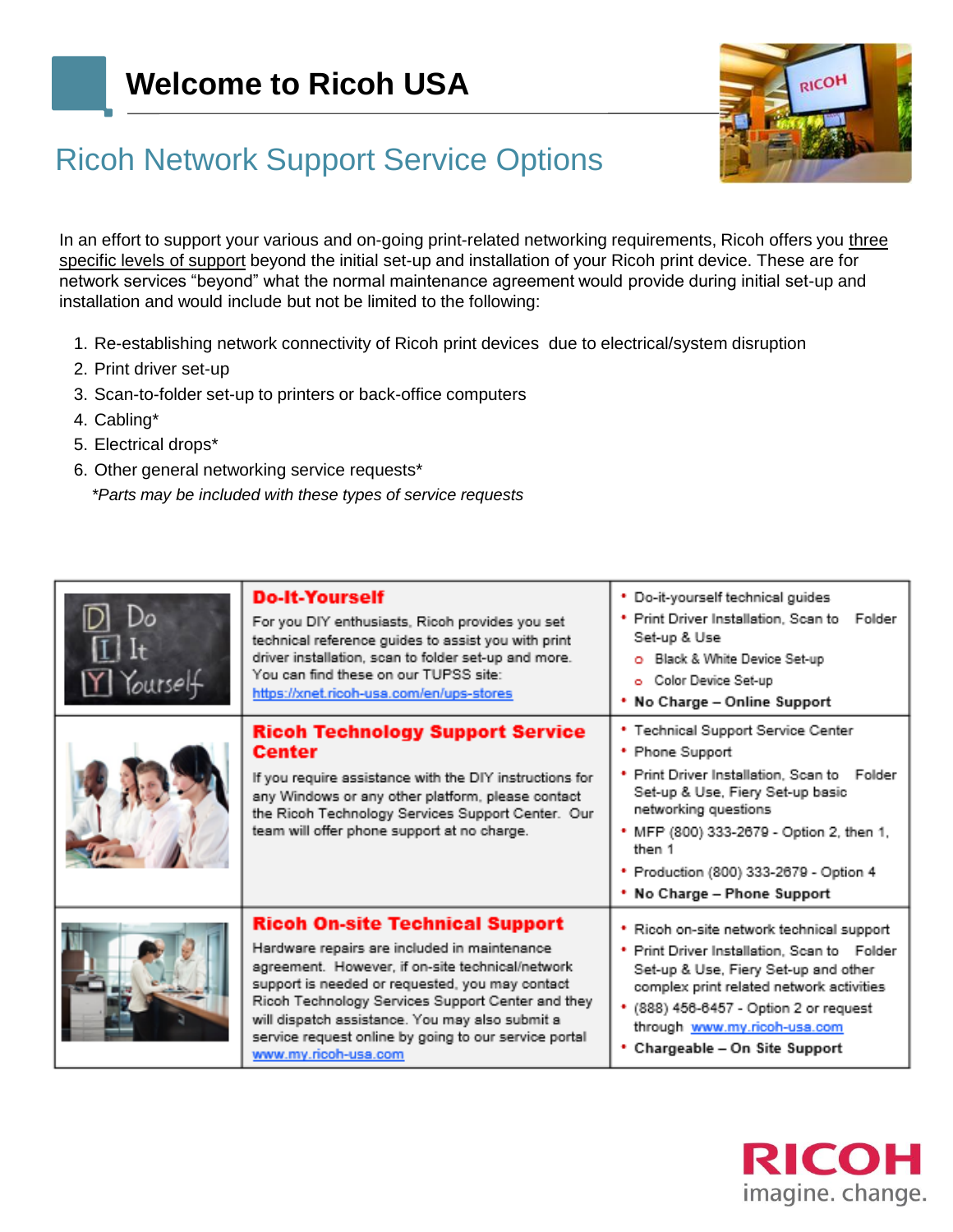

# Ricoh Network Support Service Options

In an effort to support your various and on-going print-related networking requirements, Ricoh offers you three specific levels of support beyond the initial set-up and installation of your Ricoh print device. These are for network services "beyond" what the normal maintenance agreement would provide during initial set-up and installation and would include but not be limited to the following:

- 1. Re-establishing network connectivity of Ricoh print devices due to electrical/system disruption
- 2. Print driver set-up
- 3. Scan-to-folder set-up to printers or back-office computers
- 4. Cabling\*
- 5. Electrical drops\*
- 6. Other general networking service requests\*

*\*Parts may be included with these types of service requests*

| Y Yourself | <b>Do-It-Yourself</b><br>For you DIY enthusiasts, Ricoh provides you set<br>technical reference guides to assist you with print<br>driver installation, scan to folder set-up and more.<br>You can find these on our TUPSS site:<br>https://xnet.ricoh-usa.com/en/ups-stores                                                                                                           | * Do-it-yourself technical guides<br>Print Driver Installation, Scan to Folder<br>Set-up & Use<br>O Black & White Device Set-up<br>o Color Device Set-up<br>* No Charge - Online Support                                                                                                    |
|------------|----------------------------------------------------------------------------------------------------------------------------------------------------------------------------------------------------------------------------------------------------------------------------------------------------------------------------------------------------------------------------------------|---------------------------------------------------------------------------------------------------------------------------------------------------------------------------------------------------------------------------------------------------------------------------------------------|
|            | <b>Ricoh Technology Support Service</b><br><b>Center</b><br>If you require assistance with the DIY instructions for<br>any Windows or any other platform, please contact<br>the Ricoh Technology Services Support Center. Our<br>team will offer phone support at no charge.                                                                                                           | * Technical Support Service Center<br>• Phone Support<br>Print Driver Installation, Scan to Folder<br>Set-up & Use, Fiery Set-up basic<br>networking questions<br>MFP (800) 333-2679 - Option 2, then 1,<br>then 1<br>* Production (800) 333-2679 - Option 4<br>* No Charge - Phone Support |
|            | <b>Ricoh On-site Technical Support</b><br>Hardware repairs are included in maintenance<br>agreement. However, if on-site technical/network<br>support is needed or requested, you may contact<br>Ricoh Technology Services Support Center and they<br>will dispatch assistance. You may also submit a<br>service request online by going to our service portal<br>www.my.ricoh-usa.com | Ricoh on-site network technical support<br>Print Driver Installation, Scan to Folder<br>Set-up & Use, Fiery Set-up and other<br>complex print related network activities<br>(888) 456-6457 - Option 2 or request<br>through www.my.ricoh-usa.com<br>Chargeable - On Site Support            |

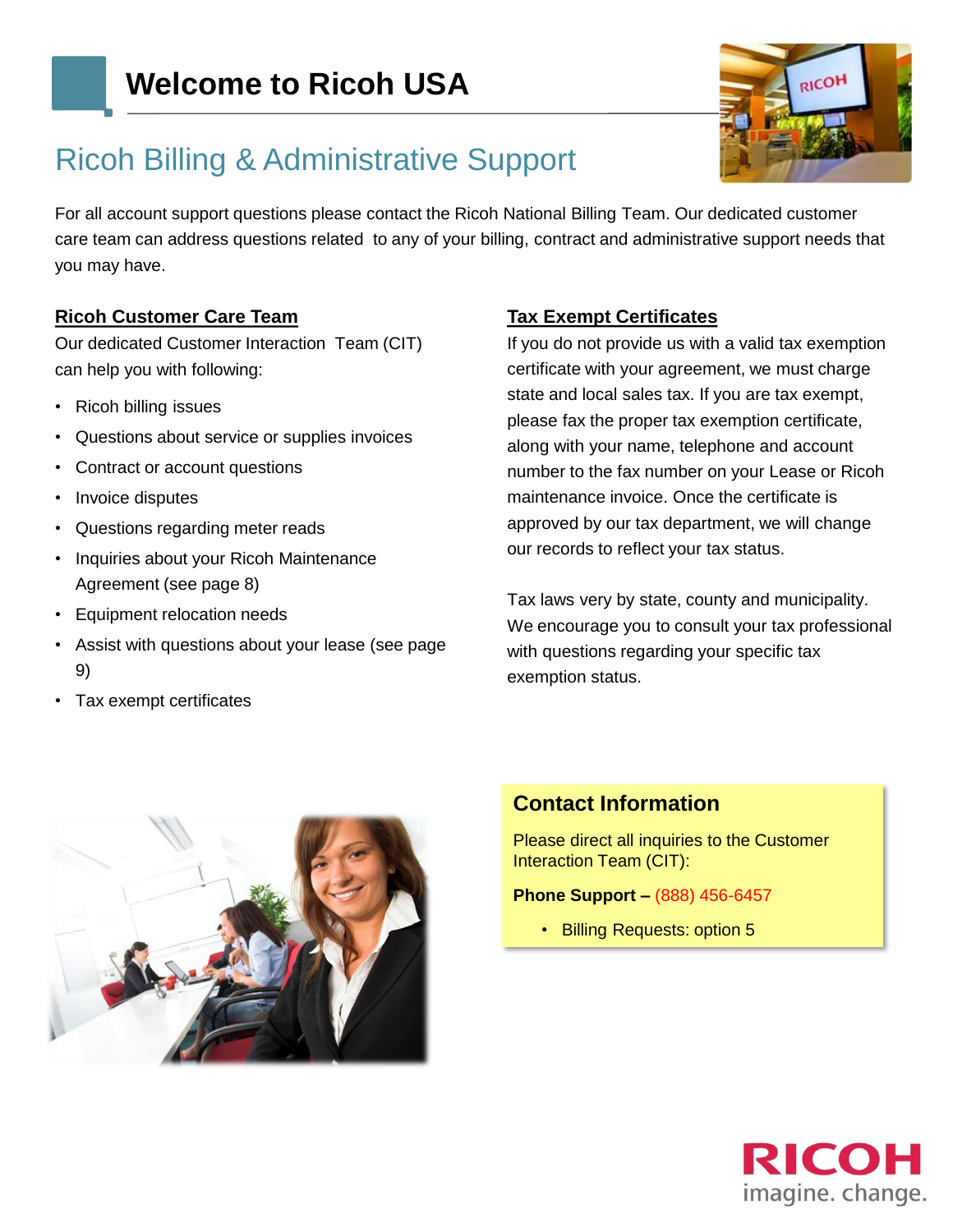

# Ricoh Billing & Administrative Support

For all account support questions please contact the Ricoh National Billing Team. Our dedicated customer care team can address questions related to any of your billing, contract and administrative support needs that you may have.

#### **Ricoh Customer Care Team**

Our dedicated Customer Interaction Team (CIT) can help you with following:

- Ricoh billing issues
- Questions about service or supplies invoices
- Contract or account questions
- Invoice disputes
- Questions regarding meter reads
- Inquiries about your Ricoh Maintenance Agreement (see page 8)
- Equipment relocation needs
- Assist with questions about your lease (see page 9)
- Tax exempt certificates

#### **Tax Exempt Certificates**

If you do not provide us with a valid tax exemption certificate with your agreement, we must charge state and local sales tax. If you are tax exempt, please fax the proper tax exemption certificate, along with your name, telephone and account number to the fax number on your Lease or Ricoh maintenance invoice. Once the certificate is approved by our tax department, we will change our records to reflect your tax status.

Tax laws very by state, county and municipality. We encourage you to consult your tax professional with questions regarding your specific tax exemption status.



### **Contact Information**

Please direct all inquiries to the Customer Interaction Team (CIT):

#### **Phone Support –** (888) 456-6457

• Billing Requests: option 5

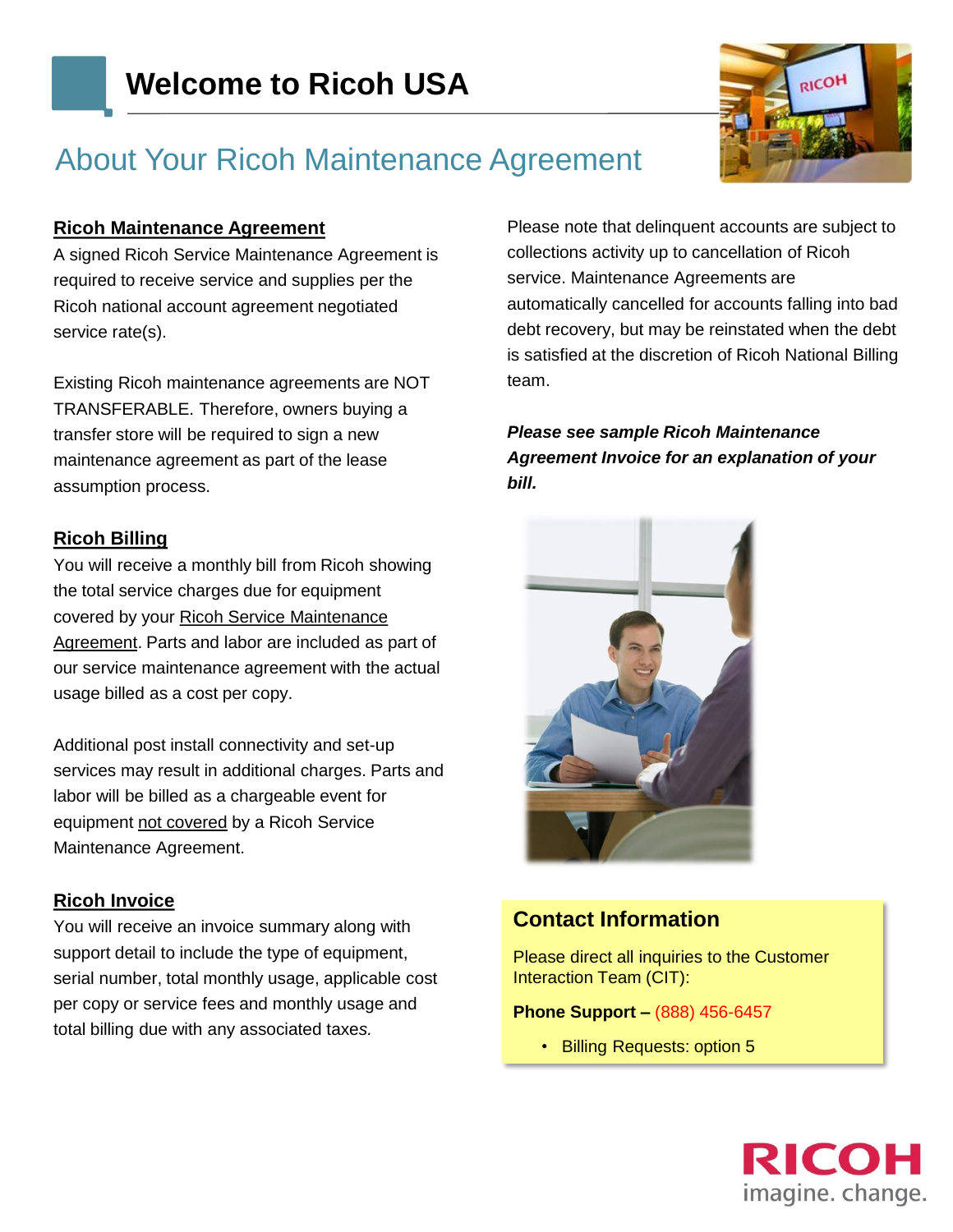

# About Your Ricoh Maintenance Agreement

#### **Ricoh Maintenance Agreement**

A signed Ricoh Service Maintenance Agreement is required to receive service and supplies per the Ricoh national account agreement negotiated service rate(s).

Existing Ricoh maintenance agreements are NOT TRANSFERABLE. Therefore, owners buying a transfer store will be required to sign a new maintenance agreement as part of the lease assumption process.

#### **Ricoh Billing**

You will receive a monthly bill from Ricoh showing the total service charges due for equipment covered by your Ricoh Service Maintenance Agreement. Parts and labor are included as part of our service maintenance agreement with the actual usage billed as a cost per copy.

Additional post install connectivity and set-up services may result in additional charges. Parts and labor will be billed as a chargeable event for equipment not covered by a Ricoh Service Maintenance Agreement.

#### **Ricoh Invoice**

You will receive an invoice summary along with support detail to include the type of equipment, serial number, total monthly usage, applicable cost per copy or service fees and monthly usage and total billing due with any associated taxe*s.* 

Please note that delinquent accounts are subject to collections activity up to cancellation of Ricoh service. Maintenance Agreements are automatically cancelled for accounts falling into bad debt recovery, but may be reinstated when the debt is satisfied at the discretion of Ricoh National Billing team.

*Please see sample Ricoh Maintenance Agreement Invoice for an explanation of your bill.*



### **Contact Information**

Please direct all inquiries to the Customer Interaction Team (CIT):

#### **Phone Support –** (888) 456-6457

• Billing Requests: option 5

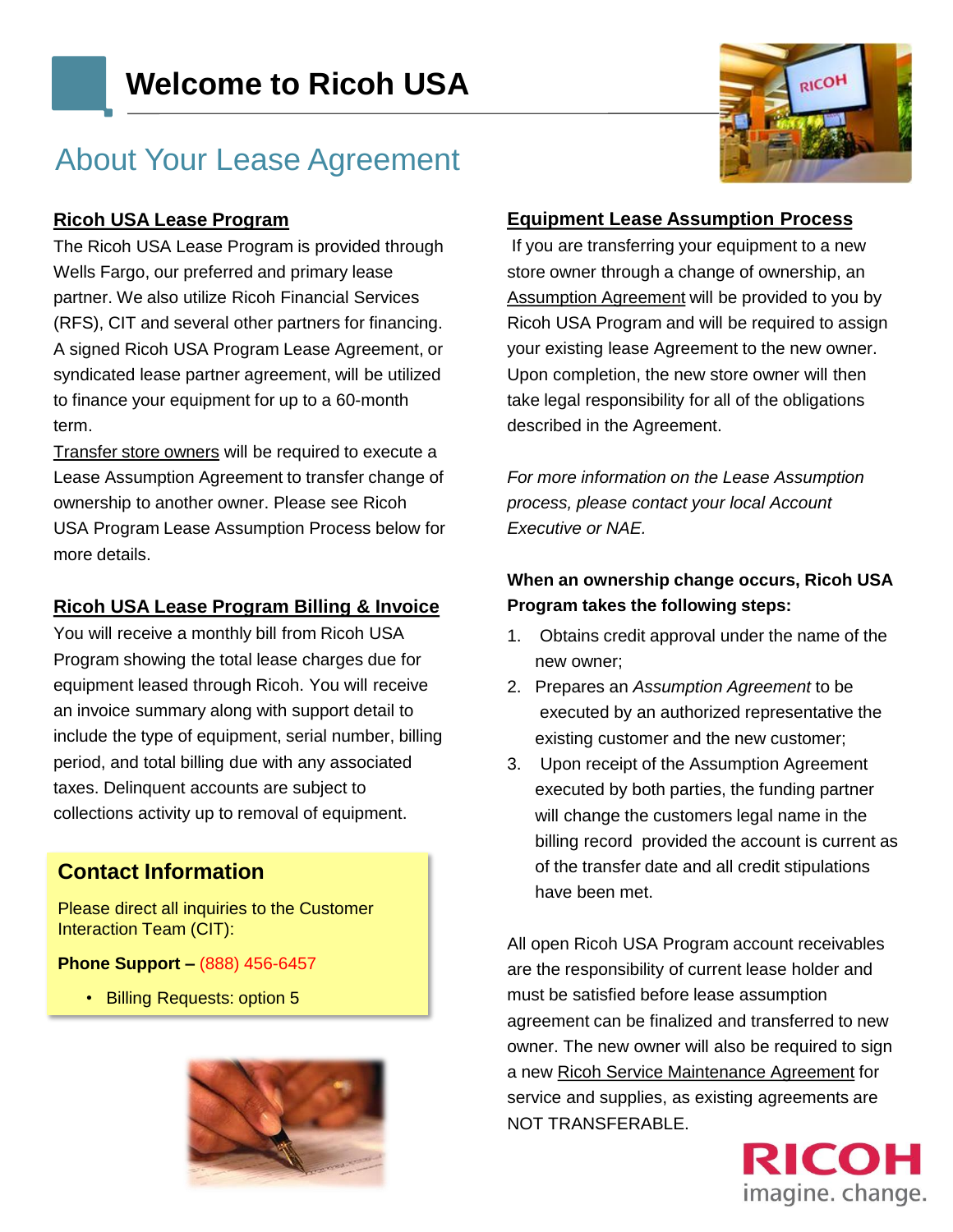# About Your Lease Agreement

#### **Ricoh USA Lease Program**

The Ricoh USA Lease Program is provided through Wells Fargo, our preferred and primary lease partner. We also utilize Ricoh Financial Services (RFS), CIT and several other partners for financing. A signed Ricoh USA Program Lease Agreement, or syndicated lease partner agreement, will be utilized to finance your equipment for up to a 60-month term.

Transfer store owners will be required to execute a Lease Assumption Agreement to transfer change of ownership to another owner. Please see Ricoh USA Program Lease Assumption Process below for more details.

### **Ricoh USA Lease Program Billing & Invoice**

You will receive a monthly bill from Ricoh USA Program showing the total lease charges due for equipment leased through Ricoh. You will receive an invoice summary along with support detail to include the type of equipment, serial number, billing period, and total billing due with any associated taxes. Delinquent accounts are subject to collections activity up to removal of equipment.

### **Contact Information**

Please direct all inquiries to the Customer Interaction Team (CIT):

**Phone Support –** (888) 456-6457

• Billing Requests: option 5



#### **Equipment Lease Assumption Process**

If you are transferring your equipment to a new store owner through a change of ownership, an Assumption Agreement will be provided to you by Ricoh USA Program and will be required to assign your existing lease Agreement to the new owner. Upon completion, the new store owner will then take legal responsibility for all of the obligations described in the Agreement.

*For more information on the Lease Assumption process, please contact your local Account Executive or NAE.*

### **When an ownership change occurs, Ricoh USA Program takes the following steps:**

- 1. Obtains credit approval under the name of the new owner;
- 2. Prepares an *Assumption Agreement* to be executed by an authorized representative the existing customer and the new customer;
- 3. Upon receipt of the Assumption Agreement executed by both parties, the funding partner will change the customers legal name in the billing record provided the account is current as of the transfer date and all credit stipulations have been met.

All open Ricoh USA Program account receivables are the responsibility of current lease holder and must be satisfied before lease assumption agreement can be finalized and transferred to new owner. The new owner will also be required to sign a new Ricoh Service Maintenance Agreement for service and supplies, as existing agreements are NOT TRANSFERABLE.



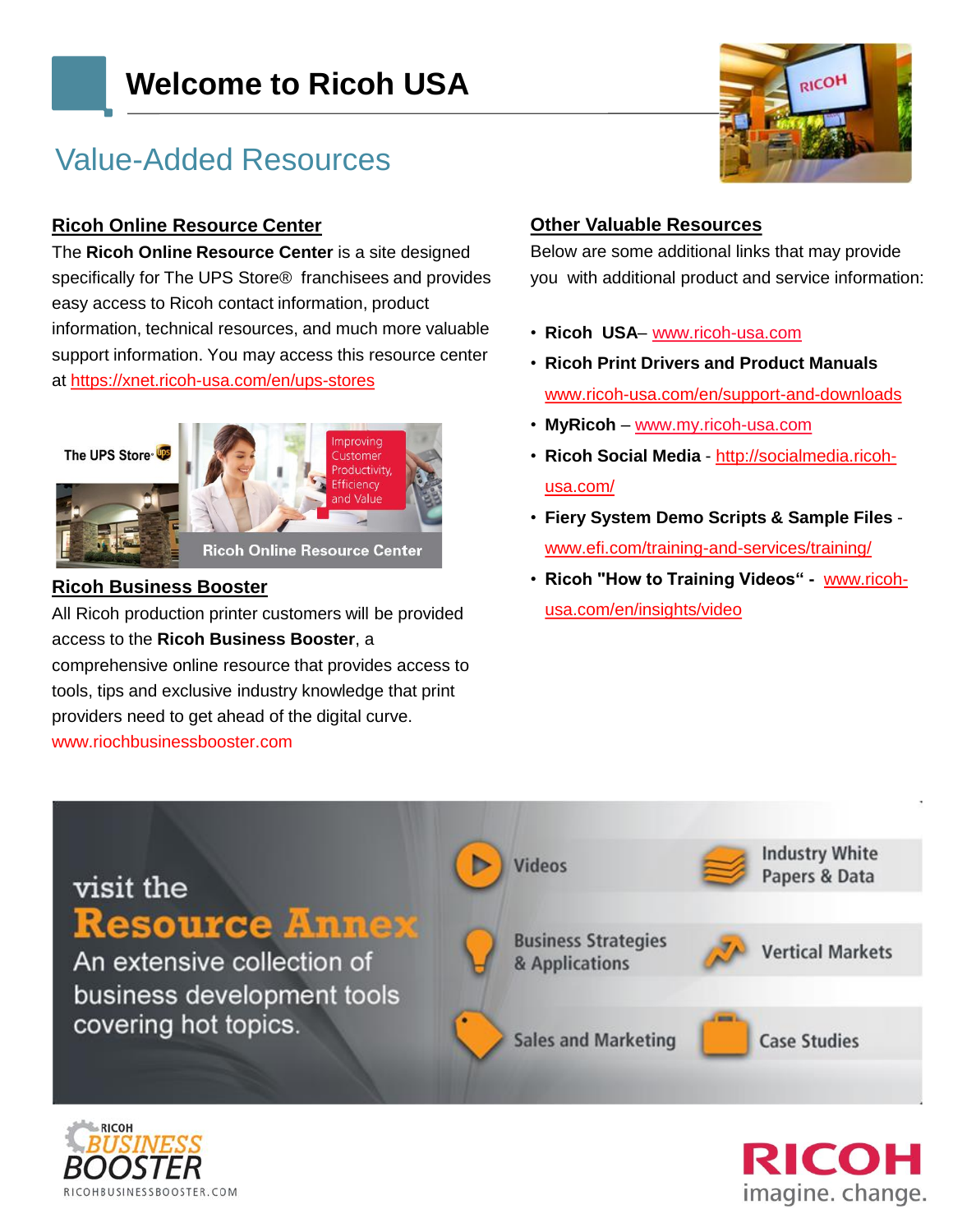# **Welcome to Ricoh USA**

# Value-Added Resources

### **Ricoh Online Resource Center**

The **Ricoh Online Resource Center** is a site designed specifically for The UPS Store® franchisees and provides easy access to Ricoh contact information, product information, technical resources, and much more valuable support information. You may access this resource center at [https://xnet.ricoh-usa.com/en/ups-stores](https://xnet.ricoh-usa.com/en/ups)



### **Ricoh Business Booster**

All Ricoh production printer customers will be provided access to the **Ricoh Business Booster**, a comprehensive online resource that provides access to tools, tips and exclusive industry knowledge that print providers need to get ahead of the digital curve. www.riochbusinessbooster.com



#### **Other Valuable Resources**

Below are some additional links that may provide you with additional product and service information:

- **Ricoh USA** [www.ricoh-usa.com](http://www.ricoh-usa.com/)
- **Ricoh Print Drivers and Product Manuals**  www.ricoh-usa.com/en/support-and-downloads
- **MyRicoh** [www.my.ricoh-usa.com](http://www.my.ricoh.com/)
- **Ricoh Social Media**  http://socialmedia.ricohusa.com/
- **Fiery System Demo Scripts & Sample Files**  www.efi.com/training-and-services/training/
- **Ricoh "How to Training Videos" -** www.ricohusa.com/en/insights/video





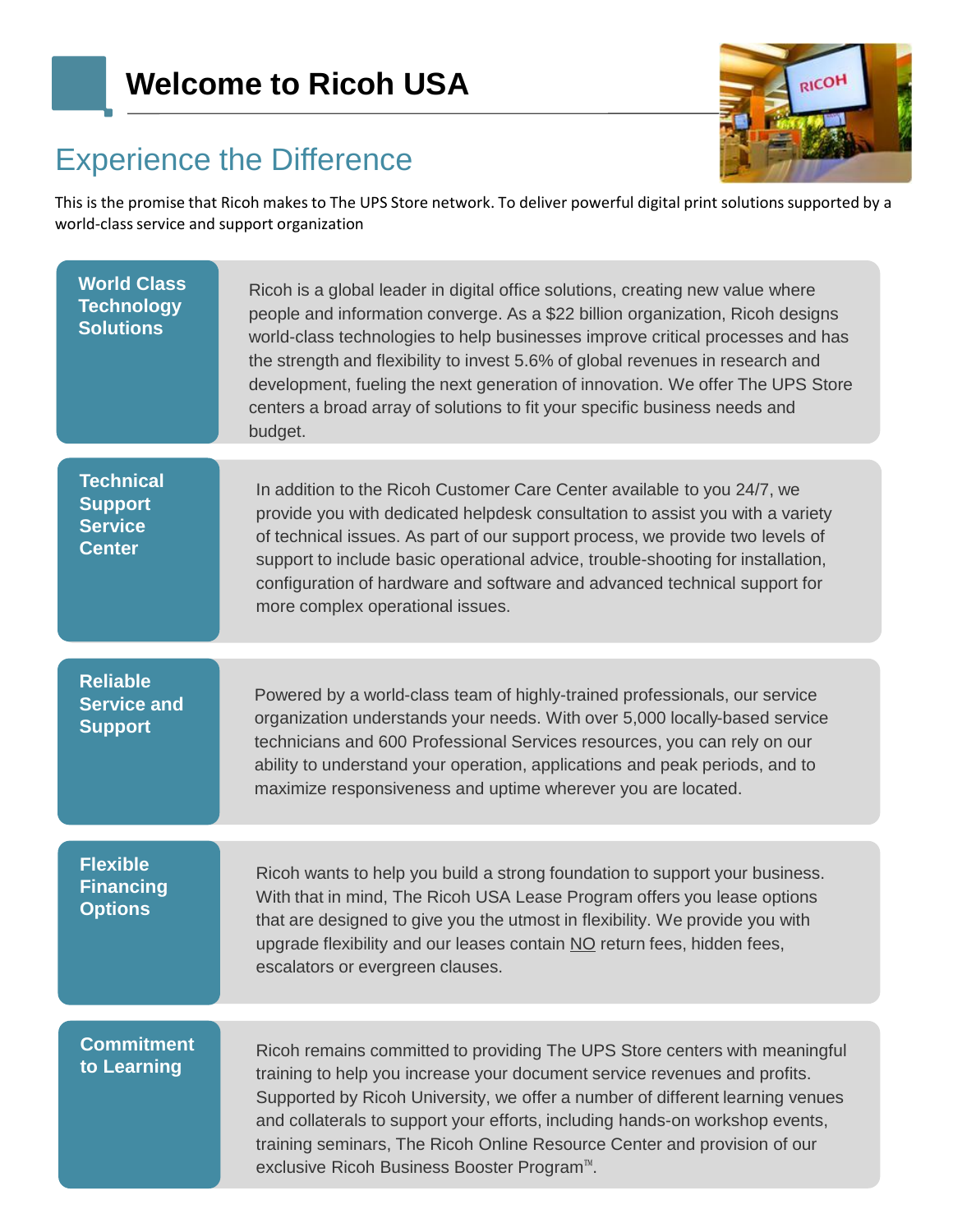# **Welcome to Ricoh USA**



# Experience the Difference

This is the promise that Ricoh makes to The UPS Store network. To deliver powerful digital print solutions supported by a world-class service and support organization

| <b>World Class</b><br><b>Technology</b><br><b>Solutions</b>           | Ricoh is a global leader in digital office solutions, creating new value where<br>people and information converge. As a \$22 billion organization, Ricoh designs<br>world-class technologies to help businesses improve critical processes and has<br>the strength and flexibility to invest 5.6% of global revenues in research and<br>development, fueling the next generation of innovation. We offer The UPS Store<br>centers a broad array of solutions to fit your specific business needs and<br>budget. |
|-----------------------------------------------------------------------|-----------------------------------------------------------------------------------------------------------------------------------------------------------------------------------------------------------------------------------------------------------------------------------------------------------------------------------------------------------------------------------------------------------------------------------------------------------------------------------------------------------------|
| <b>Technical</b><br><b>Support</b><br><b>Service</b><br><b>Center</b> | In addition to the Ricoh Customer Care Center available to you 24/7, we<br>provide you with dedicated helpdesk consultation to assist you with a variety<br>of technical issues. As part of our support process, we provide two levels of<br>support to include basic operational advice, trouble-shooting for installation,<br>configuration of hardware and software and advanced technical support for<br>more complex operational issues.                                                                   |
| <b>Reliable</b><br><b>Service and</b><br><b>Support</b>               | Powered by a world-class team of highly-trained professionals, our service<br>organization understands your needs. With over 5,000 locally-based service<br>technicians and 600 Professional Services resources, you can rely on our<br>ability to understand your operation, applications and peak periods, and to<br>maximize responsiveness and uptime wherever you are located.                                                                                                                             |
| <b>Flexible</b><br><b>Financing</b><br><b>Options</b>                 | Ricoh wants to help you build a strong foundation to support your business.<br>With that in mind, The Ricoh USA Lease Program offers you lease options<br>that are designed to give you the utmost in flexibility. We provide you with<br>upgrade flexibility and our leases contain NO return fees, hidden fees,<br>escalators or evergreen clauses.                                                                                                                                                           |
| <b>Commitment</b><br>to Learning                                      | Ricoh remains committed to providing The UPS Store centers with meaningful<br>training to help you increase your document service revenues and profits.<br>Supported by Ricoh University, we offer a number of different learning venues<br>and collaterals to support your efforts, including hands-on workshop events,<br>training seminars, The Ricoh Online Resource Center and provision of our<br>exclusive Ricoh Business Booster Program <sup>™</sup> .                                                 |